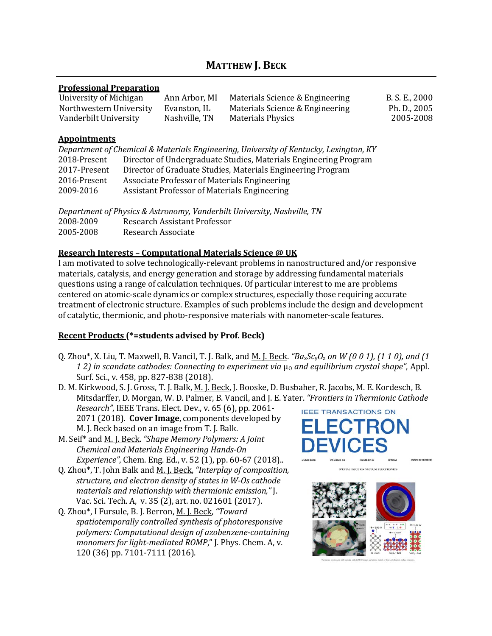# **MATTHEW J. BECK**

#### **Professional Preparation**

| University of Michigan  | Ann Arbor, MI | Materials Science & Engineering | B. S. E., 2000 |
|-------------------------|---------------|---------------------------------|----------------|
| Northwestern University | Evanston, IL  | Materials Science & Engineering | Ph. D., 2005   |
| Vanderbilt University   | Nashville, TN | <b>Materials Physics</b>        | 2005-2008      |

#### **Appointments**

| Department of Chemical & Materials Engineering, University of Kentucky, Lexington, KY |                                                                  |  |
|---------------------------------------------------------------------------------------|------------------------------------------------------------------|--|
| 2018-Present                                                                          | Director of Undergraduate Studies, Materials Engineering Program |  |
| 2017-Present                                                                          | Director of Graduate Studies, Materials Engineering Program      |  |
| 2016-Present                                                                          | Associate Professor of Materials Engineering                     |  |
| 2009-2016                                                                             | Assistant Professor of Materials Engineering                     |  |
|                                                                                       |                                                                  |  |

| Department of Physics & Astronomy, Vanderbilt University, Nashville, TN |                              |  |
|-------------------------------------------------------------------------|------------------------------|--|
| 2008-2009                                                               | Research Assistant Professor |  |
| 2005-2008                                                               | Research Associate           |  |

#### **Research Interests – Computational Materials Science @ UK**

I am motivated to solve technologically-relevant problems in nanostructured and/or responsive materials, catalysis, and energy generation and storage by addressing fundamental materials questions using a range of calculation techniques. Of particular interest to me are problems centered on atomic-scale dynamics or complex structures, especially those requiring accurate treatment of electronic structure. Examples of such problems include the design and development of catalytic, thermionic, and photo-responsive materials with nanometer-scale features.

### **Recent Products (\*=students advised by Prof. Beck)**

Q. Zhou\*, X. Liu, T. Maxwell, B. Vancil, T. J. Balk, and M. J. Beck. *"Ba*x*Sc*y*O*<sup>z</sup> *on W (0 0 1), (1 1 0), and (1 12)* in scandate cathodes: Connecting to experiment via μο and equilibrium crystal shape", Appl. Surf. Sci., v. 458, pp. 827-838 (2018).

D. M. Kirkwood, S. J. Gross, T. J. Balk, M. J. Beck, J. Booske, D. Busbaher, R. Jacobs, M. E. Kordesch, B. Mitsdarffer, D. Morgan, W. D. Palmer, B. Vancil, and J. E. Yater. *"Frontiers in Thermionic Cathode*

*Research"*, IEEE Trans. Elect. Dev., v. 65 (6), pp. 2061- 2071 (2018). **Cover Image**, components developed by M. J. Beck based on an image from T. J. Balk.

- M. Seif\* and M. J. Beck. *"Shape Memory Polymers: A Joint Chemical and Materials Engineering Hands-On Experience"*, Chem. Eng. Ed., v. 52 (1), pp. 60-67 (2018)..
- Q. Zhou\*, T. John Balk and M. J. Beck, *"Interplay of composition, structure, and electron density of states in W-Os cathode materials and relationship with thermionic emission,"* J. Vac. Sci. Tech. A, v. 35 (2), art. no. 021601 (2017).
- Q. Zhou\*, I Fursule, B. J. Berron, M. J. Beck, *"Toward spatiotemporally controlled synthesis of photoresponsive polymers: Computational design of azobenzene-containing monomers for light-mediated ROMP*," J. Phys. Chem. A, v. 120 (36) pp. 7101-7111 (2016).